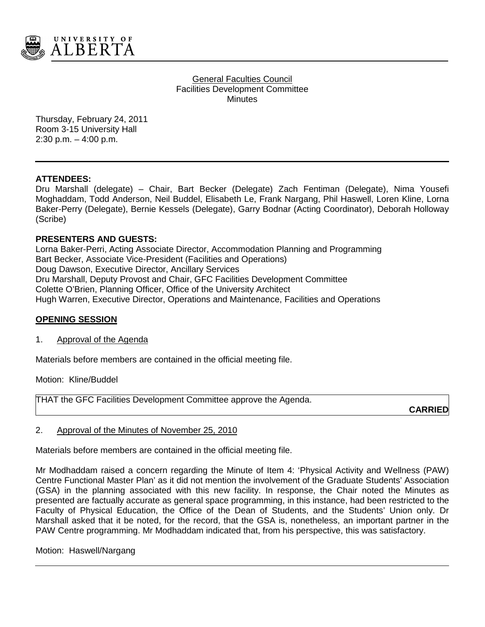

General Faculties Council Facilities Development Committee **Minutes** 

Thursday, February 24, 2011 Room 3-15 University Hall 2:30 p.m. – 4:00 p.m.

## **ATTENDEES:**

Dru Marshall (delegate) – Chair, Bart Becker (Delegate) Zach Fentiman (Delegate), Nima Yousefi Moghaddam, Todd Anderson, Neil Buddel, Elisabeth Le, Frank Nargang, Phil Haswell, Loren Kline, Lorna Baker-Perry (Delegate), Bernie Kessels (Delegate), Garry Bodnar (Acting Coordinator), Deborah Holloway (Scribe)

# **PRESENTERS AND GUESTS:**

Lorna Baker-Perri, Acting Associate Director, Accommodation Planning and Programming Bart Becker, Associate Vice-President (Facilities and Operations) Doug Dawson, Executive Director, Ancillary Services Dru Marshall, Deputy Provost and Chair, GFC Facilities Development Committee Colette O'Brien, Planning Officer, Office of the University Architect Hugh Warren, Executive Director, Operations and Maintenance, Facilities and Operations

## **OPENING SESSION**

1. Approval of the Agenda

Materials before members are contained in the official meeting file.

Motion: Kline/Buddel

THAT the GFC Facilities Development Committee approve the Agenda.

**CARRIED**

#### 2. Approval of the Minutes of November 25, 2010

Materials before members are contained in the official meeting file.

Mr Modhaddam raised a concern regarding the Minute of Item 4: 'Physical Activity and Wellness (PAW) Centre Functional Master Plan' as it did not mention the involvement of the Graduate Students' Association (GSA) in the planning associated with this new facility. In response, the Chair noted the Minutes as presented are factually accurate as general space programming, in this instance, had been restricted to the Faculty of Physical Education, the Office of the Dean of Students, and the Students' Union only. Dr Marshall asked that it be noted, for the record, that the GSA is, nonetheless, an important partner in the PAW Centre programming. Mr Modhaddam indicated that, from his perspective, this was satisfactory.

Motion: Haswell/Nargang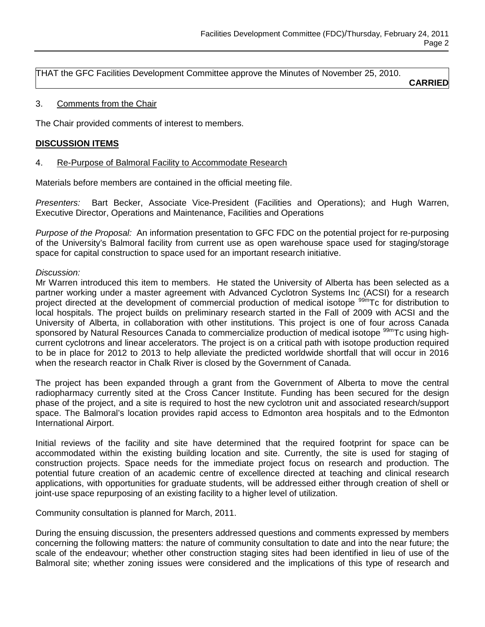THAT the GFC Facilities Development Committee approve the Minutes of November 25, 2010.

# **CARRIED**

#### 3. Comments from the Chair

The Chair provided comments of interest to members.

## **DISCUSSION ITEMS**

#### 4. Re-Purpose of Balmoral Facility to Accommodate Research

Materials before members are contained in the official meeting file.

*Presenters:* Bart Becker, Associate Vice-President (Facilities and Operations); and Hugh Warren, Executive Director, Operations and Maintenance, Facilities and Operations

*Purpose of the Proposal:* An information presentation to GFC FDC on the potential project for re-purposing of the University's Balmoral facility from current use as open warehouse space used for staging/storage space for capital construction to space used for an important research initiative.

#### *Discussion:*

Mr Warren introduced this item to members. He stated the University of Alberta has been selected as a partner working under a master agreement with Advanced Cyclotron Systems Inc (ACSI) for a research project directed at the development of commercial production of medical isotope <sup>99m</sup>Tc for distribution to local hospitals. The project builds on preliminary research started in the Fall of 2009 with ACSI and the University of Alberta, in collaboration with other institutions. This project is one of four across Canada sponsored by Natural Resources Canada to commercialize production of medical isotope <sup>99m</sup>Tc using highcurrent cyclotrons and linear accelerators. The project is on a critical path with isotope production required to be in place for 2012 to 2013 to help alleviate the predicted worldwide shortfall that will occur in 2016 when the research reactor in Chalk River is closed by the Government of Canada.

The project has been expanded through a grant from the Government of Alberta to move the central radiopharmacy currently sited at the Cross Cancer Institute. Funding has been secured for the design phase of the project, and a site is required to host the new cyclotron unit and associated research/support space. The Balmoral's location provides rapid access to Edmonton area hospitals and to the Edmonton International Airport.

Initial reviews of the facility and site have determined that the required footprint for space can be accommodated within the existing building location and site. Currently, the site is used for staging of construction projects. Space needs for the immediate project focus on research and production. The potential future creation of an academic centre of excellence directed at teaching and clinical research applications, with opportunities for graduate students, will be addressed either through creation of shell or joint-use space repurposing of an existing facility to a higher level of utilization.

Community consultation is planned for March, 2011.

During the ensuing discussion, the presenters addressed questions and comments expressed by members concerning the following matters: the nature of community consultation to date and into the near future; the scale of the endeavour; whether other construction staging sites had been identified in lieu of use of the Balmoral site; whether zoning issues were considered and the implications of this type of research and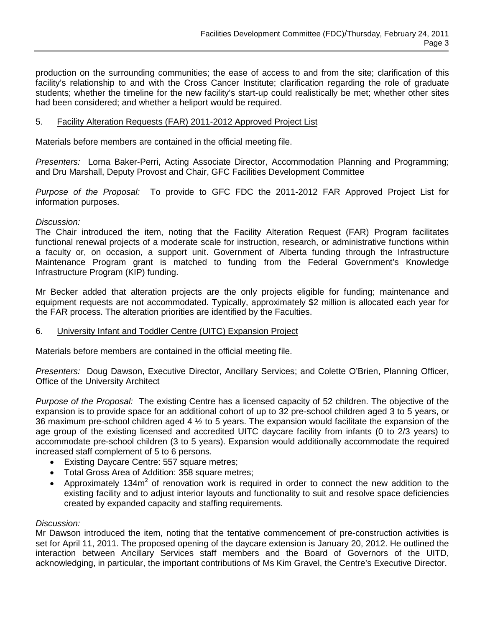production on the surrounding communities; the ease of access to and from the site; clarification of this facility's relationship to and with the Cross Cancer Institute; clarification regarding the role of graduate students; whether the timeline for the new facility's start-up could realistically be met; whether other sites had been considered; and whether a heliport would be required.

## 5. Facility Alteration Requests (FAR) 2011-2012 Approved Project List

Materials before members are contained in the official meeting file.

*Presenters:* Lorna Baker-Perri, Acting Associate Director, Accommodation Planning and Programming; and Dru Marshall, Deputy Provost and Chair, GFC Facilities Development Committee

*Purpose of the Proposal:* To provide to GFC FDC the 2011-2012 FAR Approved Project List for information purposes.

#### *Discussion:*

The Chair introduced the item, noting that the Facility Alteration Request (FAR) Program facilitates functional renewal projects of a moderate scale for instruction, research, or administrative functions within a faculty or, on occasion, a support unit. Government of Alberta funding through the Infrastructure Maintenance Program grant is matched to funding from the Federal Government's Knowledge Infrastructure Program (KIP) funding.

Mr Becker added that alteration projects are the only projects eligible for funding; maintenance and equipment requests are not accommodated. Typically, approximately \$2 million is allocated each year for the FAR process. The alteration priorities are identified by the Faculties.

#### 6. University Infant and Toddler Centre (UITC) Expansion Project

Materials before members are contained in the official meeting file.

*Presenters:* Doug Dawson, Executive Director, Ancillary Services; and Colette O'Brien, Planning Officer, Office of the University Architect

*Purpose of the Proposal:* The existing Centre has a licensed capacity of 52 children. The objective of the expansion is to provide space for an additional cohort of up to 32 pre-school children aged 3 to 5 years, or 36 maximum pre-school children aged 4 ½ to 5 years. The expansion would facilitate the expansion of the age group of the existing licensed and accredited UITC daycare facility from infants (0 to 2/3 years) to accommodate pre-school children (3 to 5 years). Expansion would additionally accommodate the required increased staff complement of 5 to 6 persons.

- Existing Daycare Centre: 557 square metres;
- Total Gross Area of Addition: 358 square metres;
- Approximately  $134m^2$  of renovation work is required in order to connect the new addition to the existing facility and to adjust interior layouts and functionality to suit and resolve space deficiencies created by expanded capacity and staffing requirements.

#### *Discussion:*

Mr Dawson introduced the item, noting that the tentative commencement of pre-construction activities is set for April 11, 2011. The proposed opening of the daycare extension is January 20, 2012. He outlined the interaction between Ancillary Services staff members and the Board of Governors of the UITD, acknowledging, in particular, the important contributions of Ms Kim Gravel, the Centre's Executive Director.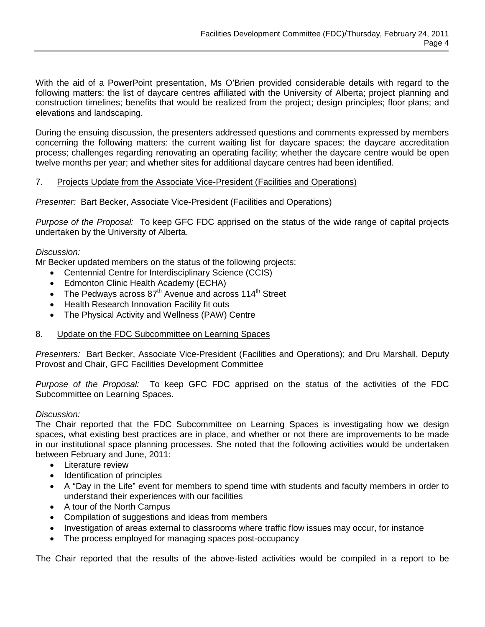With the aid of a PowerPoint presentation, Ms O'Brien provided considerable details with regard to the following matters: the list of daycare centres affiliated with the University of Alberta; project planning and construction timelines; benefits that would be realized from the project; design principles; floor plans; and elevations and landscaping.

During the ensuing discussion, the presenters addressed questions and comments expressed by members concerning the following matters: the current waiting list for daycare spaces; the daycare accreditation process; challenges regarding renovating an operating facility; whether the daycare centre would be open twelve months per year; and whether sites for additional daycare centres had been identified.

## 7. Projects Update from the Associate Vice-President (Facilities and Operations)

*Presenter:* Bart Becker, Associate Vice-President (Facilities and Operations)

*Purpose of the Proposal:* To keep GFC FDC apprised on the status of the wide range of capital projects undertaken by the University of Alberta.

## *Discussion:*

Mr Becker updated members on the status of the following projects:

- Centennial Centre for Interdisciplinary Science (CCIS)
- Edmonton Clinic Health Academy (ECHA)
- The Pedways across  $87<sup>th</sup>$  Avenue and across 114<sup>th</sup> Street
- Health Research Innovation Facility fit outs
- The Physical Activity and Wellness (PAW) Centre

#### 8. Update on the FDC Subcommittee on Learning Spaces

*Presenters:* Bart Becker, Associate Vice-President (Facilities and Operations); and Dru Marshall, Deputy Provost and Chair, GFC Facilities Development Committee

*Purpose of the Proposal:* To keep GFC FDC apprised on the status of the activities of the FDC Subcommittee on Learning Spaces.

#### *Discussion:*

The Chair reported that the FDC Subcommittee on Learning Spaces is investigating how we design spaces, what existing best practices are in place, and whether or not there are improvements to be made in our institutional space planning processes. She noted that the following activities would be undertaken between February and June, 2011:

- Literature review
- Identification of principles
- A "Day in the Life" event for members to spend time with students and faculty members in order to understand their experiences with our facilities
- A tour of the North Campus
- Compilation of suggestions and ideas from members
- Investigation of areas external to classrooms where traffic flow issues may occur, for instance
- The process employed for managing spaces post-occupancy

The Chair reported that the results of the above-listed activities would be compiled in a report to be